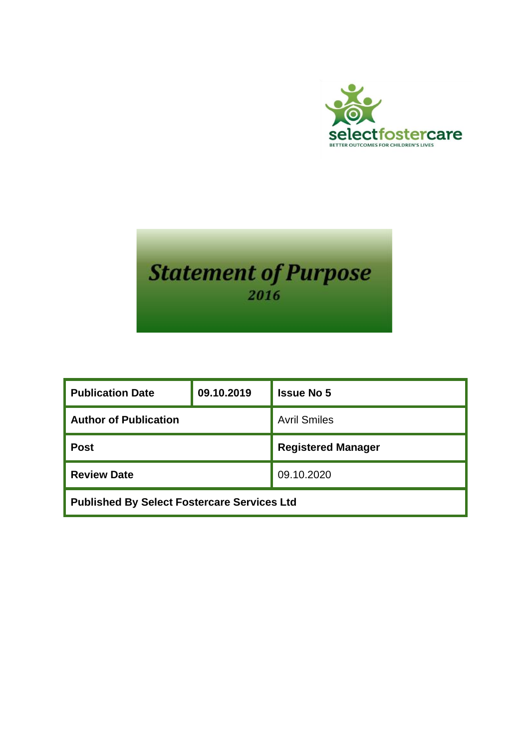



| <b>Publication Date</b>                            | 09.10.2019 | <b>Issue No 5</b>         |
|----------------------------------------------------|------------|---------------------------|
| <b>Author of Publication</b>                       |            | <b>Avril Smiles</b>       |
| <b>Post</b>                                        |            | <b>Registered Manager</b> |
| <b>Review Date</b>                                 |            | 09.10.2020                |
| <b>Published By Select Fostercare Services Ltd</b> |            |                           |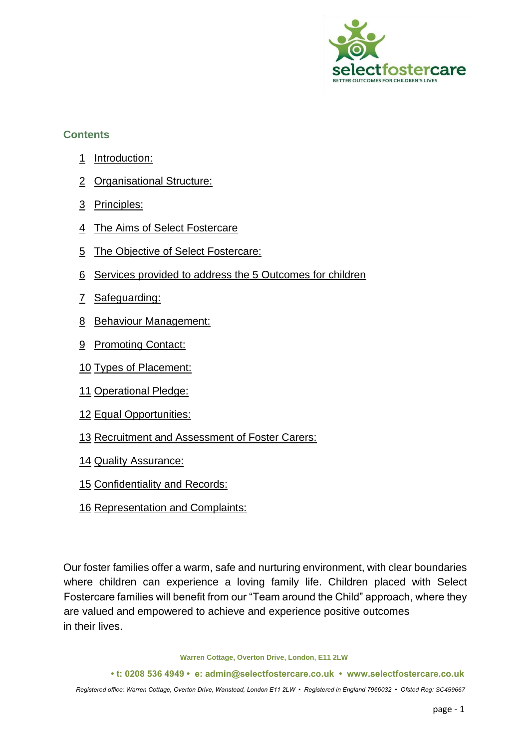

#### **Contents**

- Introduction:
- Organisational Structure:
- Principles:
- The Aims of Select Fostercare
- The Objective of Select Fostercare:
- Services provided to address the 5 Outcomes for children
- Safeguarding:
- Behaviour Management:
- Promoting Contact:
- Types of Placement:
- Operational Pledge:
- Equal Opportunities:
- Recruitment and Assessment of Foster Carers:
- Quality Assurance:
- Confidentiality and Records:
- Representation and Complaints:

Our foster families offer a warm, safe and nurturing environment, with clear boundaries where children can experience a loving family life. Children placed with Select Fostercare families will benefit from our "Team around the Child" approach, where they are valued and empowered to achieve and experience positive outcomes in their lives.

**Warren Cottage, Overton Drive, London, E11 2LW** 

**• t: 0208 536 4949 • e: admin@selectfostercare.co.uk • www.selectfostercare.co.uk**  *Registered office: Warren Cottage, Overton Drive, Wanstead, London E11 2LW • Registered in England 7966032 • Ofsted Reg: SC459667*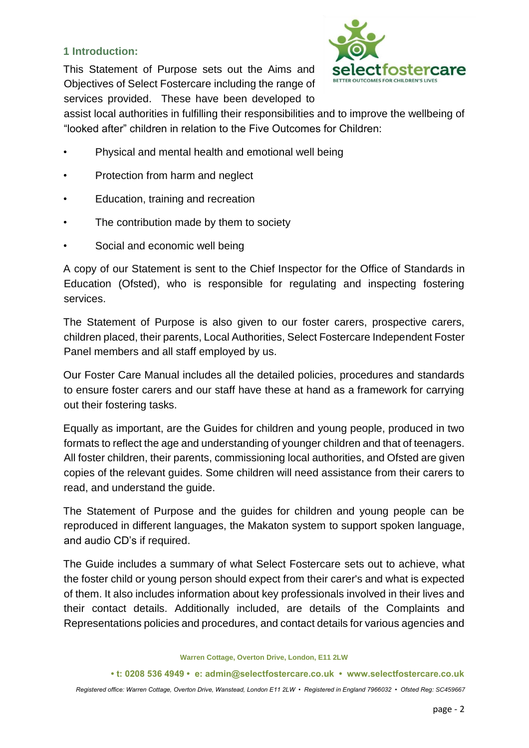#### **1 Introduction:**

This Statement of Purpose sets out the Aims and Objectives of Select Fostercare including the range of services provided. These have been developed to



assist local authorities in fulfilling their responsibilities and to improve the wellbeing of "looked after" children in relation to the Five Outcomes for Children:

- Physical and mental health and emotional well being
- Protection from harm and neglect
- Education, training and recreation
- The contribution made by them to society
- Social and economic well being

A copy of our Statement is sent to the Chief Inspector for the Office of Standards in Education (Ofsted), who is responsible for regulating and inspecting fostering services.

The Statement of Purpose is also given to our foster carers, prospective carers, children placed, their parents, Local Authorities, Select Fostercare Independent Foster Panel members and all staff employed by us.

Our Foster Care Manual includes all the detailed policies, procedures and standards to ensure foster carers and our staff have these at hand as a framework for carrying out their fostering tasks.

Equally as important, are the Guides for children and young people, produced in two formats to reflect the age and understanding of younger children and that of teenagers. All foster children, their parents, commissioning local authorities, and Ofsted are given copies of the relevant guides. Some children will need assistance from their carers to read, and understand the guide.

The Statement of Purpose and the guides for children and young people can be reproduced in different languages, the Makaton system to support spoken language, and audio CD's if required.

The Guide includes a summary of what Select Fostercare sets out to achieve, what the foster child or young person should expect from their carer's and what is expected of them. It also includes information about key professionals involved in their lives and their contact details. Additionally included, are details of the Complaints and Representations policies and procedures, and contact details for various agencies and

**Warren Cottage, Overton Drive, London, E11 2LW** 

**• t: 0208 536 4949 • e: admin@selectfostercare.co.uk • www.selectfostercare.co.uk**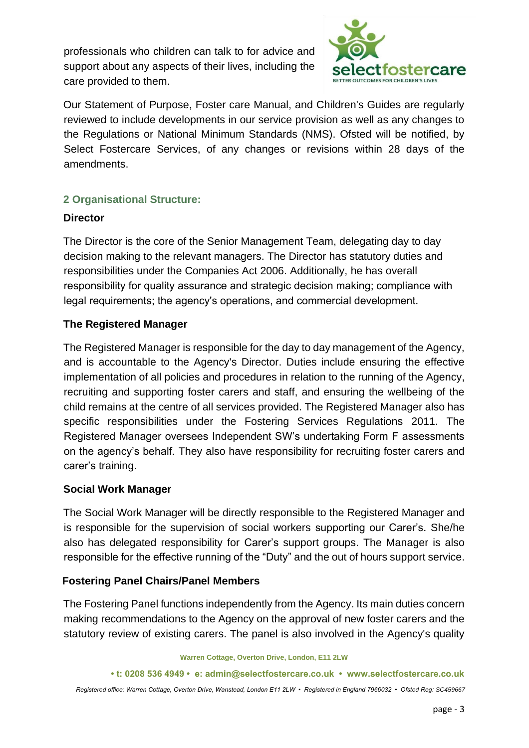professionals who children can talk to for advice and support about any aspects of their lives, including the care provided to them.



Our Statement of Purpose, Foster care Manual, and Children's Guides are regularly reviewed to include developments in our service provision as well as any changes to the Regulations or National Minimum Standards (NMS). Ofsted will be notified, by Select Fostercare Services, of any changes or revisions within 28 days of the amendments.

## **2 Organisational Structure:**

#### **Director**

The Director is the core of the Senior Management Team, delegating day to day decision making to the relevant managers. The Director has statutory duties and responsibilities under the Companies Act 2006. Additionally, he has overall responsibility for quality assurance and strategic decision making; compliance with legal requirements; the agency's operations, and commercial development.

## **The Registered Manager**

The Registered Manager is responsible for the day to day management of the Agency, and is accountable to the Agency's Director. Duties include ensuring the effective implementation of all policies and procedures in relation to the running of the Agency, recruiting and supporting foster carers and staff, and ensuring the wellbeing of the child remains at the centre of all services provided. The Registered Manager also has specific responsibilities under the Fostering Services Regulations 2011. The Registered Manager oversees Independent SW's undertaking Form F assessments on the agency's behalf. They also have responsibility for recruiting foster carers and carer's training.

## **Social Work Manager**

The Social Work Manager will be directly responsible to the Registered Manager and is responsible for the supervision of social workers supporting our Carer's. She/he also has delegated responsibility for Carer's support groups. The Manager is also responsible for the effective running of the "Duty" and the out of hours support service.

## **Fostering Panel Chairs/Panel Members**

The Fostering Panel functions independently from the Agency. Its main duties concern making recommendations to the Agency on the approval of new foster carers and the statutory review of existing carers. The panel is also involved in the Agency's quality

**Warren Cottage, Overton Drive, London, E11 2LW** 

**• t: 0208 536 4949 • e: admin@selectfostercare.co.uk • www.selectfostercare.co.uk**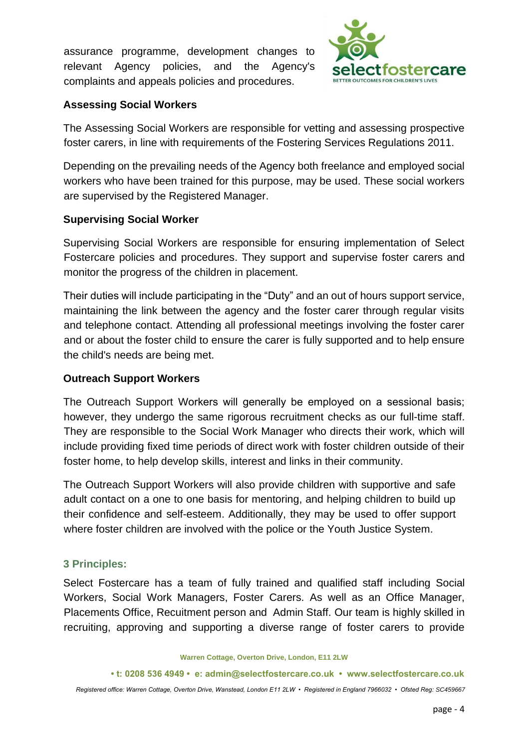assurance programme, development changes to relevant Agency policies, and the Agency's complaints and appeals policies and procedures.



#### **Assessing Social Workers**

The Assessing Social Workers are responsible for vetting and assessing prospective foster carers, in line with requirements of the Fostering Services Regulations 2011.

Depending on the prevailing needs of the Agency both freelance and employed social workers who have been trained for this purpose, may be used. These social workers are supervised by the Registered Manager.

#### **Supervising Social Worker**

Supervising Social Workers are responsible for ensuring implementation of Select Fostercare policies and procedures. They support and supervise foster carers and monitor the progress of the children in placement.

Their duties will include participating in the "Duty" and an out of hours support service, maintaining the link between the agency and the foster carer through regular visits and telephone contact. Attending all professional meetings involving the foster carer and or about the foster child to ensure the carer is fully supported and to help ensure the child's needs are being met.

#### **Outreach Support Workers**

The Outreach Support Workers will generally be employed on a sessional basis; however, they undergo the same rigorous recruitment checks as our full-time staff. They are responsible to the Social Work Manager who directs their work, which will include providing fixed time periods of direct work with foster children outside of their foster home, to help develop skills, interest and links in their community.

The Outreach Support Workers will also provide children with supportive and safe adult contact on a one to one basis for mentoring, and helping children to build up their confidence and self-esteem. Additionally, they may be used to offer support where foster children are involved with the police or the Youth Justice System.

## **3 Principles:**

Select Fostercare has a team of fully trained and qualified staff including Social Workers, Social Work Managers, Foster Carers. As well as an Office Manager, Placements Office, Recuitment person and Admin Staff. Our team is highly skilled in recruiting, approving and supporting a diverse range of foster carers to provide

**Warren Cottage, Overton Drive, London, E11 2LW** 

**<sup>•</sup> t: 0208 536 4949 • e: admin@selectfostercare.co.uk • www.selectfostercare.co.uk**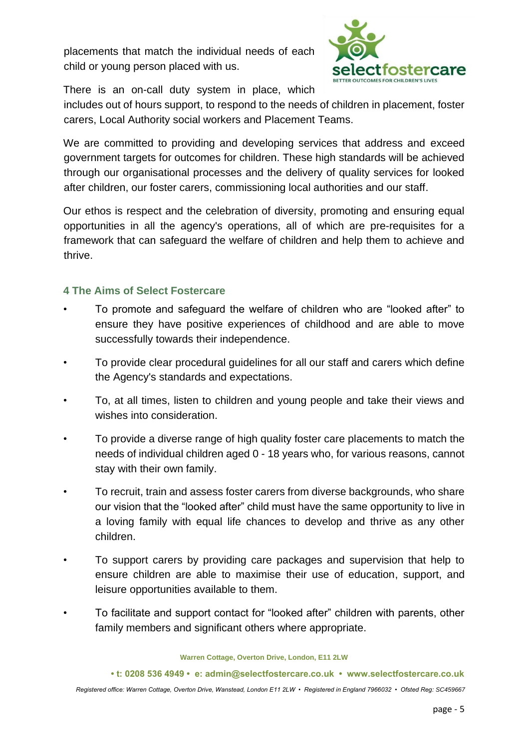placements that match the individual needs of each child or young person placed with us.



There is an on-call duty system in place, which

includes out of hours support, to respond to the needs of children in placement, foster carers, Local Authority social workers and Placement Teams.

We are committed to providing and developing services that address and exceed government targets for outcomes for children. These high standards will be achieved through our organisational processes and the delivery of quality services for looked after children, our foster carers, commissioning local authorities and our staff.

Our ethos is respect and the celebration of diversity, promoting and ensuring equal opportunities in all the agency's operations, all of which are pre-requisites for a framework that can safeguard the welfare of children and help them to achieve and thrive.

#### **4 The Aims of Select Fostercare**

- To promote and safeguard the welfare of children who are "looked after" to ensure they have positive experiences of childhood and are able to move successfully towards their independence.
- To provide clear procedural guidelines for all our staff and carers which define the Agency's standards and expectations.
- To, at all times, listen to children and young people and take their views and wishes into consideration.
- To provide a diverse range of high quality foster care placements to match the needs of individual children aged 0 - 18 years who, for various reasons, cannot stay with their own family.
- To recruit, train and assess foster carers from diverse backgrounds, who share our vision that the "looked after" child must have the same opportunity to live in a loving family with equal life chances to develop and thrive as any other children.
- To support carers by providing care packages and supervision that help to ensure children are able to maximise their use of education, support, and leisure opportunities available to them.
- To facilitate and support contact for "looked after" children with parents, other family members and significant others where appropriate.

**Warren Cottage, Overton Drive, London, E11 2LW** 

**• t: 0208 536 4949 • e: admin@selectfostercare.co.uk • www.selectfostercare.co.uk**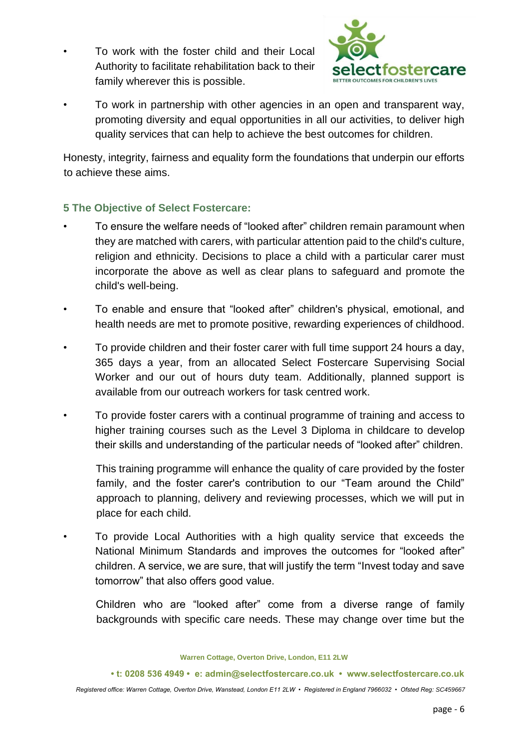• To work with the foster child and their Local Authority to facilitate rehabilitation back to their family wherever this is possible.



• To work in partnership with other agencies in an open and transparent way, promoting diversity and equal opportunities in all our activities, to deliver high quality services that can help to achieve the best outcomes for children.

Honesty, integrity, fairness and equality form the foundations that underpin our efforts to achieve these aims.

# **5 The Objective of Select Fostercare:**

- To ensure the welfare needs of "looked after" children remain paramount when they are matched with carers, with particular attention paid to the child's culture, religion and ethnicity. Decisions to place a child with a particular carer must incorporate the above as well as clear plans to safeguard and promote the child's well-being.
- To enable and ensure that "looked after" children's physical, emotional, and health needs are met to promote positive, rewarding experiences of childhood.
- To provide children and their foster carer with full time support 24 hours a day, 365 days a year, from an allocated Select Fostercare Supervising Social Worker and our out of hours duty team. Additionally, planned support is available from our outreach workers for task centred work.
- To provide foster carers with a continual programme of training and access to higher training courses such as the Level 3 Diploma in childcare to develop their skills and understanding of the particular needs of "looked after" children.

This training programme will enhance the quality of care provided by the foster family, and the foster carer's contribution to our "Team around the Child" approach to planning, delivery and reviewing processes, which we will put in place for each child.

• To provide Local Authorities with a high quality service that exceeds the National Minimum Standards and improves the outcomes for "looked after" children. A service, we are sure, that will justify the term "Invest today and save tomorrow" that also offers good value.

Children who are "looked after" come from a diverse range of family backgrounds with specific care needs. These may change over time but the

**Warren Cottage, Overton Drive, London, E11 2LW** 

**• t: 0208 536 4949 • e: admin@selectfostercare.co.uk • www.selectfostercare.co.uk**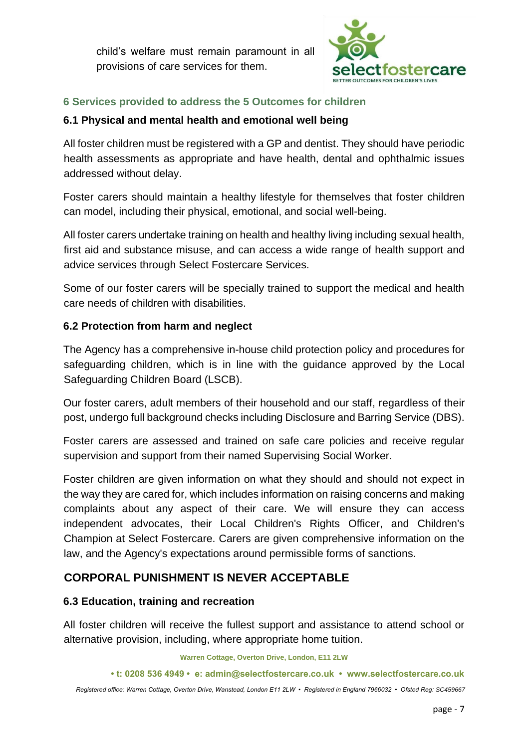child's welfare must remain paramount in all provisions of care services for them.



# **6 Services provided to address the 5 Outcomes for children**

## **6.1 Physical and mental health and emotional well being**

All foster children must be registered with a GP and dentist. They should have periodic health assessments as appropriate and have health, dental and ophthalmic issues addressed without delay.

Foster carers should maintain a healthy lifestyle for themselves that foster children can model, including their physical, emotional, and social well-being.

All foster carers undertake training on health and healthy living including sexual health, first aid and substance misuse, and can access a wide range of health support and advice services through Select Fostercare Services.

Some of our foster carers will be specially trained to support the medical and health care needs of children with disabilities.

## **6.2 Protection from harm and neglect**

The Agency has a comprehensive in-house child protection policy and procedures for safeguarding children, which is in line with the guidance approved by the Local Safeguarding Children Board (LSCB).

Our foster carers, adult members of their household and our staff, regardless of their post, undergo full background checks including Disclosure and Barring Service (DBS).

Foster carers are assessed and trained on safe care policies and receive regular supervision and support from their named Supervising Social Worker.

Foster children are given information on what they should and should not expect in the way they are cared for, which includes information on raising concerns and making complaints about any aspect of their care. We will ensure they can access independent advocates, their Local Children's Rights Officer, and Children's Champion at Select Fostercare. Carers are given comprehensive information on the law, and the Agency's expectations around permissible forms of sanctions.

## **CORPORAL PUNISHMENT IS NEVER ACCEPTABLE**

#### **6.3 Education, training and recreation**

All foster children will receive the fullest support and assistance to attend school or alternative provision, including, where appropriate home tuition.

**Warren Cottage, Overton Drive, London, E11 2LW** 

**• t: 0208 536 4949 • e: admin@selectfostercare.co.uk • www.selectfostercare.co.uk**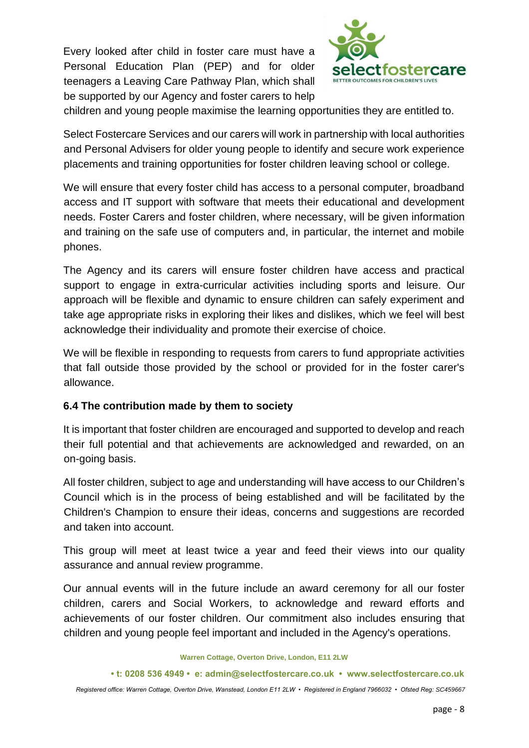Every looked after child in foster care must have a Personal Education Plan (PEP) and for older teenagers a Leaving Care Pathway Plan, which shall be supported by our Agency and foster carers to help



children and young people maximise the learning opportunities they are entitled to.

Select Fostercare Services and our carers will work in partnership with local authorities and Personal Advisers for older young people to identify and secure work experience placements and training opportunities for foster children leaving school or college.

We will ensure that every foster child has access to a personal computer, broadband access and IT support with software that meets their educational and development needs. Foster Carers and foster children, where necessary, will be given information and training on the safe use of computers and, in particular, the internet and mobile phones.

The Agency and its carers will ensure foster children have access and practical support to engage in extra-curricular activities including sports and leisure. Our approach will be flexible and dynamic to ensure children can safely experiment and take age appropriate risks in exploring their likes and dislikes, which we feel will best acknowledge their individuality and promote their exercise of choice.

We will be flexible in responding to requests from carers to fund appropriate activities that fall outside those provided by the school or provided for in the foster carer's allowance.

#### **6.4 The contribution made by them to society**

It is important that foster children are encouraged and supported to develop and reach their full potential and that achievements are acknowledged and rewarded, on an on-going basis.

All foster children, subject to age and understanding will have access to our Children's Council which is in the process of being established and will be facilitated by the Children's Champion to ensure their ideas, concerns and suggestions are recorded and taken into account.

This group will meet at least twice a year and feed their views into our quality assurance and annual review programme.

Our annual events will in the future include an award ceremony for all our foster children, carers and Social Workers, to acknowledge and reward efforts and achievements of our foster children. Our commitment also includes ensuring that children and young people feel important and included in the Agency's operations.

**Warren Cottage, Overton Drive, London, E11 2LW** 

**<sup>•</sup> t: 0208 536 4949 • e: admin@selectfostercare.co.uk • www.selectfostercare.co.uk**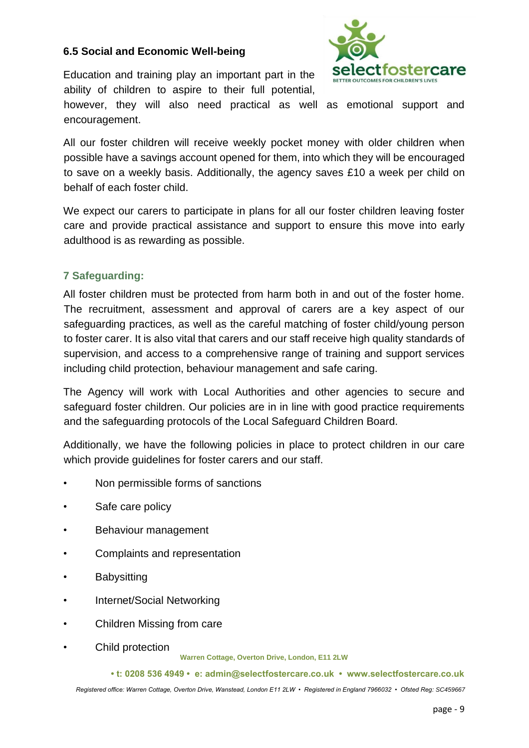#### **6.5 Social and Economic Well-being**

Education and training play an important part in the ability of children to aspire to their full potential,



however, they will also need practical as well as emotional support and encouragement.

All our foster children will receive weekly pocket money with older children when possible have a savings account opened for them, into which they will be encouraged to save on a weekly basis. Additionally, the agency saves £10 a week per child on behalf of each foster child.

We expect our carers to participate in plans for all our foster children leaving foster care and provide practical assistance and support to ensure this move into early adulthood is as rewarding as possible.

## **7 Safeguarding:**

All foster children must be protected from harm both in and out of the foster home. The recruitment, assessment and approval of carers are a key aspect of our safeguarding practices, as well as the careful matching of foster child/young person to foster carer. It is also vital that carers and our staff receive high quality standards of supervision, and access to a comprehensive range of training and support services including child protection, behaviour management and safe caring.

The Agency will work with Local Authorities and other agencies to secure and safeguard foster children. Our policies are in in line with good practice requirements and the safeguarding protocols of the Local Safeguard Children Board.

Additionally, we have the following policies in place to protect children in our care which provide guidelines for foster carers and our staff.

- Non permissible forms of sanctions
- Safe care policy
- Behaviour management
- Complaints and representation
- **Babysitting**
- Internet/Social Networking
- Children Missing from care
- Child protection

**Warren Cottage, Overton Drive, London, E11 2LW** 

**• t: 0208 536 4949 • e: admin@selectfostercare.co.uk • www.selectfostercare.co.uk**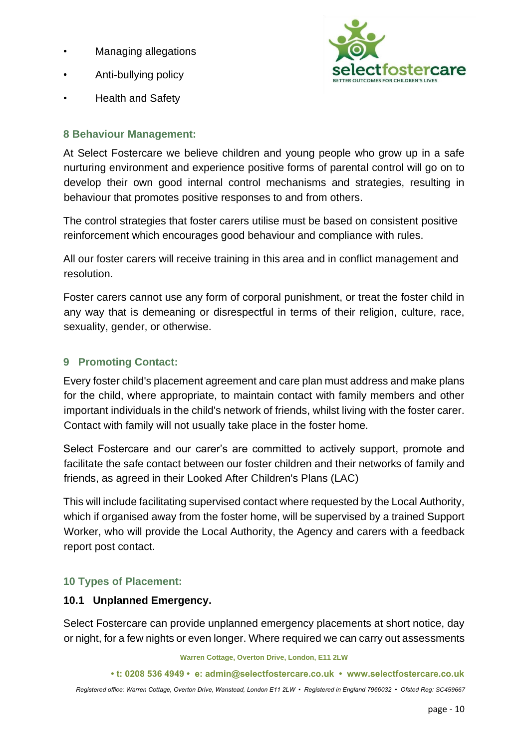- Managing allegations
- Anti-bullying policy



• Health and Safety

## **8 Behaviour Management:**

At Select Fostercare we believe children and young people who grow up in a safe nurturing environment and experience positive forms of parental control will go on to develop their own good internal control mechanisms and strategies, resulting in behaviour that promotes positive responses to and from others.

The control strategies that foster carers utilise must be based on consistent positive reinforcement which encourages good behaviour and compliance with rules.

All our foster carers will receive training in this area and in conflict management and resolution.

Foster carers cannot use any form of corporal punishment, or treat the foster child in any way that is demeaning or disrespectful in terms of their religion, culture, race, sexuality, gender, or otherwise.

# **9 Promoting Contact:**

Every foster child's placement agreement and care plan must address and make plans for the child, where appropriate, to maintain contact with family members and other important individuals in the child's network of friends, whilst living with the foster carer. Contact with family will not usually take place in the foster home.

Select Fostercare and our carer's are committed to actively support, promote and facilitate the safe contact between our foster children and their networks of family and friends, as agreed in their Looked After Children's Plans (LAC)

This will include facilitating supervised contact where requested by the Local Authority, which if organised away from the foster home, will be supervised by a trained Support Worker, who will provide the Local Authority, the Agency and carers with a feedback report post contact.

## **10 Types of Placement:**

## **10.1 Unplanned Emergency.**

Select Fostercare can provide unplanned emergency placements at short notice, day or night, for a few nights or even longer. Where required we can carry out assessments

**Warren Cottage, Overton Drive, London, E11 2LW** 

```
• t: 0208 536 4949 • e: admin@selectfostercare.co.uk • www.selectfostercare.co.uk
```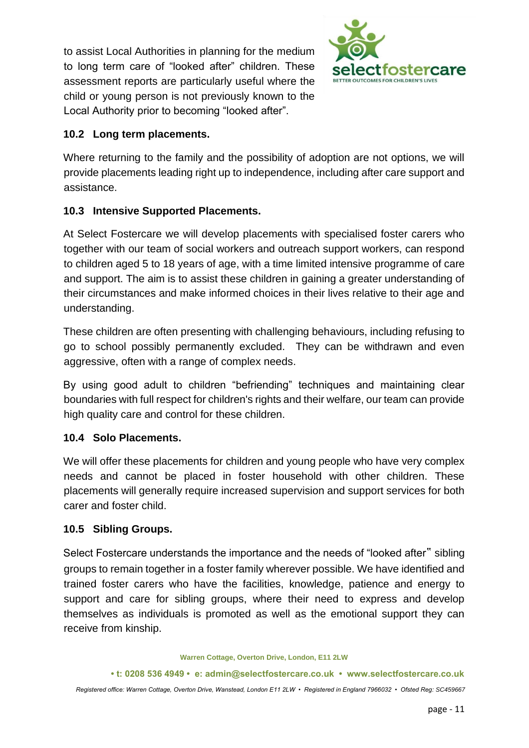to assist Local Authorities in planning for the medium to long term care of "looked after" children. These assessment reports are particularly useful where the child or young person is not previously known to the Local Authority prior to becoming "looked after".



## **10.2 Long term placements.**

Where returning to the family and the possibility of adoption are not options, we will provide placements leading right up to independence, including after care support and assistance.

## **10.3 Intensive Supported Placements.**

At Select Fostercare we will develop placements with specialised foster carers who together with our team of social workers and outreach support workers, can respond to children aged 5 to 18 years of age, with a time limited intensive programme of care and support. The aim is to assist these children in gaining a greater understanding of their circumstances and make informed choices in their lives relative to their age and understanding.

These children are often presenting with challenging behaviours, including refusing to go to school possibly permanently excluded. They can be withdrawn and even aggressive, often with a range of complex needs.

By using good adult to children "befriending" techniques and maintaining clear boundaries with full respect for children's rights and their welfare, our team can provide high quality care and control for these children.

## **10.4 Solo Placements.**

We will offer these placements for children and young people who have very complex needs and cannot be placed in foster household with other children. These placements will generally require increased supervision and support services for both carer and foster child.

## **10.5 Sibling Groups.**

Select Fostercare understands the importance and the needs of "looked after" sibling groups to remain together in a foster family wherever possible. We have identified and trained foster carers who have the facilities, knowledge, patience and energy to support and care for sibling groups, where their need to express and develop themselves as individuals is promoted as well as the emotional support they can receive from kinship.

**Warren Cottage, Overton Drive, London, E11 2LW** 

**• t: 0208 536 4949 • e: admin@selectfostercare.co.uk • www.selectfostercare.co.uk**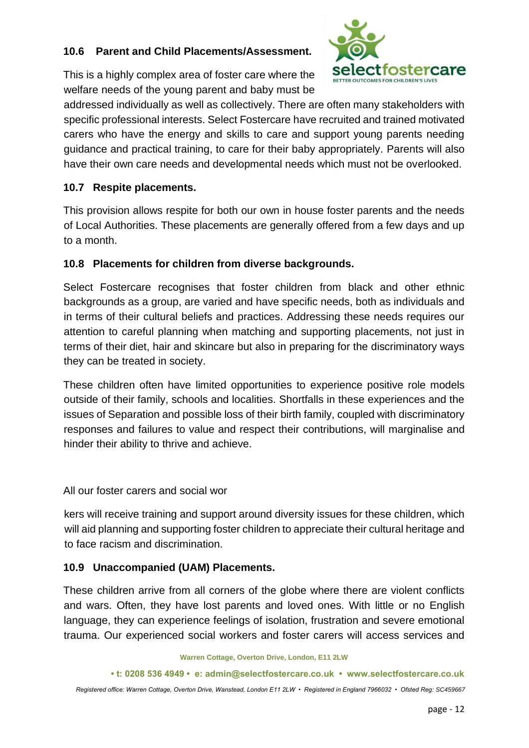#### **10.6 Parent and Child Placements/Assessment.**



This is a highly complex area of foster care where the welfare needs of the young parent and baby must be

addressed individually as well as collectively. There are often many stakeholders with specific professional interests. Select Fostercare have recruited and trained motivated carers who have the energy and skills to care and support young parents needing guidance and practical training, to care for their baby appropriately. Parents will also have their own care needs and developmental needs which must not be overlooked.

## **10.7 Respite placements.**

This provision allows respite for both our own in house foster parents and the needs of Local Authorities. These placements are generally offered from a few days and up to a month.

# **10.8 Placements for children from diverse backgrounds.**

Select Fostercare recognises that foster children from black and other ethnic backgrounds as a group, are varied and have specific needs, both as individuals and in terms of their cultural beliefs and practices. Addressing these needs requires our attention to careful planning when matching and supporting placements, not just in terms of their diet, hair and skincare but also in preparing for the discriminatory ways they can be treated in society.

These children often have limited opportunities to experience positive role models outside of their family, schools and localities. Shortfalls in these experiences and the issues of Separation and possible loss of their birth family, coupled with discriminatory responses and failures to value and respect their contributions, will marginalise and hinder their ability to thrive and achieve.

All our foster carers and social wor

kers will receive training and support around diversity issues for these children, which will aid planning and supporting foster children to appreciate their cultural heritage and to face racism and discrimination.

## **10.9 Unaccompanied (UAM) Placements.**

These children arrive from all corners of the globe where there are violent conflicts and wars. Often, they have lost parents and loved ones. With little or no English language, they can experience feelings of isolation, frustration and severe emotional trauma. Our experienced social workers and foster carers will access services and

**Warren Cottage, Overton Drive, London, E11 2LW** 

**• t: 0208 536 4949 • e: admin@selectfostercare.co.uk • www.selectfostercare.co.uk**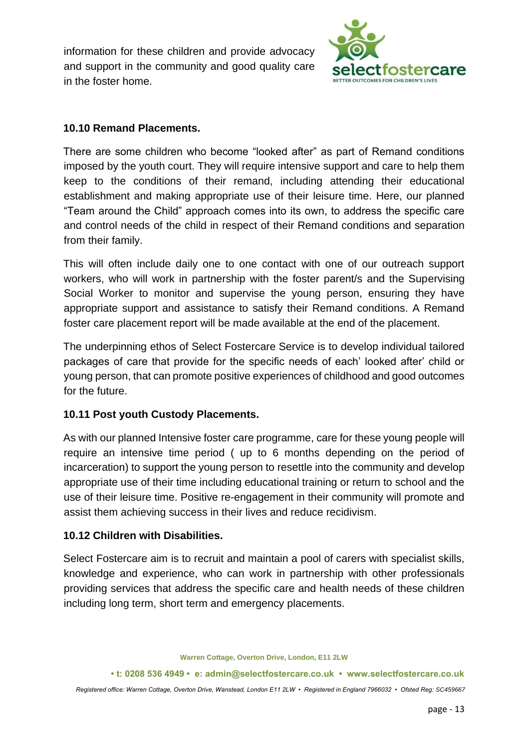information for these children and provide advocacy and support in the community and good quality care in the foster home.



## **10.10 Remand Placements.**

There are some children who become "looked after" as part of Remand conditions imposed by the youth court. They will require intensive support and care to help them keep to the conditions of their remand, including attending their educational establishment and making appropriate use of their leisure time. Here, our planned "Team around the Child" approach comes into its own, to address the specific care and control needs of the child in respect of their Remand conditions and separation from their family.

This will often include daily one to one contact with one of our outreach support workers, who will work in partnership with the foster parent/s and the Supervising Social Worker to monitor and supervise the young person, ensuring they have appropriate support and assistance to satisfy their Remand conditions. A Remand foster care placement report will be made available at the end of the placement.

The underpinning ethos of Select Fostercare Service is to develop individual tailored packages of care that provide for the specific needs of each' looked after' child or young person, that can promote positive experiences of childhood and good outcomes for the future.

## **10.11 Post youth Custody Placements.**

As with our planned Intensive foster care programme, care for these young people will require an intensive time period ( up to 6 months depending on the period of incarceration) to support the young person to resettle into the community and develop appropriate use of their time including educational training or return to school and the use of their leisure time. Positive re-engagement in their community will promote and assist them achieving success in their lives and reduce recidivism.

## **10.12 Children with Disabilities.**

Select Fostercare aim is to recruit and maintain a pool of carers with specialist skills, knowledge and experience, who can work in partnership with other professionals providing services that address the specific care and health needs of these children including long term, short term and emergency placements.

**Warren Cottage, Overton Drive, London, E11 2LW** 

**• t: 0208 536 4949 • e: admin@selectfostercare.co.uk • www.selectfostercare.co.uk**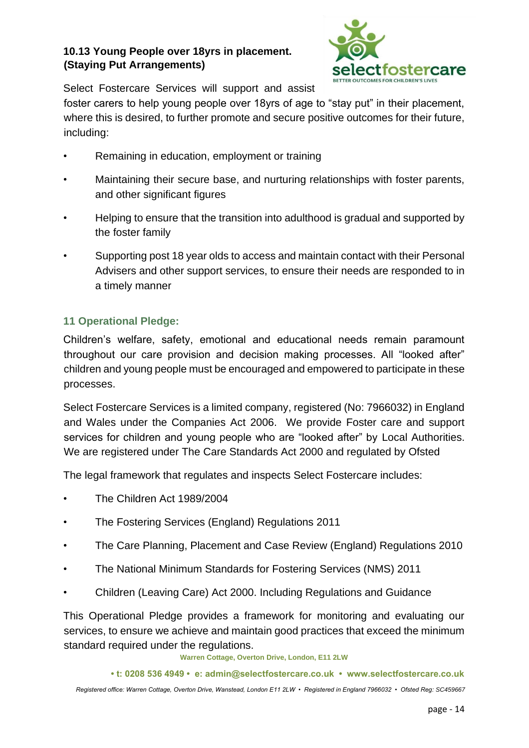# **10.13 Young People over 18yrs in placement. (Staying Put Arrangements)**



Select Fostercare Services will support and assist

foster carers to help young people over 18yrs of age to "stay put" in their placement, where this is desired, to further promote and secure positive outcomes for their future, including:

- Remaining in education, employment or training
- Maintaining their secure base, and nurturing relationships with foster parents, and other significant figures
- Helping to ensure that the transition into adulthood is gradual and supported by the foster family
- Supporting post 18 year olds to access and maintain contact with their Personal Advisers and other support services, to ensure their needs are responded to in a timely manner

# **11 Operational Pledge:**

Children's welfare, safety, emotional and educational needs remain paramount throughout our care provision and decision making processes. All "looked after" children and young people must be encouraged and empowered to participate in these processes.

Select Fostercare Services is a limited company, registered (No: 7966032) in England and Wales under the Companies Act 2006. We provide Foster care and support services for children and young people who are "looked after" by Local Authorities. We are registered under The Care Standards Act 2000 and regulated by Ofsted

The legal framework that regulates and inspects Select Fostercare includes:

- The Children Act 1989/2004
- The Fostering Services (England) Regulations 2011
- The Care Planning, Placement and Case Review (England) Regulations 2010
- The National Minimum Standards for Fostering Services (NMS) 2011
- Children (Leaving Care) Act 2000. Including Regulations and Guidance

This Operational Pledge provides a framework for monitoring and evaluating our services, to ensure we achieve and maintain good practices that exceed the minimum standard required under the regulations.

**Warren Cottage, Overton Drive, London, E11 2LW** 

**• t: 0208 536 4949 • e: admin@selectfostercare.co.uk • www.selectfostercare.co.uk**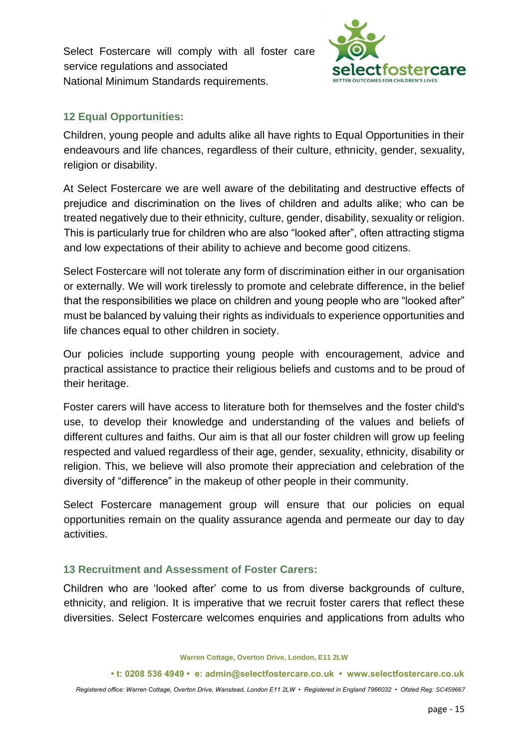Select Fostercare will comply with all foster care service regulations and associated National Minimum Standards requirements.



## **12 Equal Opportunities:**

Children, young people and adults alike all have rights to Equal Opportunities in their endeavours and life chances, regardless of their culture, ethnicity, gender, sexuality, religion or disability.

At Select Fostercare we are well aware of the debilitating and destructive effects of prejudice and discrimination on the lives of children and adults alike; who can be treated negatively due to their ethnicity, culture, gender, disability, sexuality or religion. This is particularly true for children who are also "looked after", often attracting stigma and low expectations of their ability to achieve and become good citizens.

Select Fostercare will not tolerate any form of discrimination either in our organisation or externally. We will work tirelessly to promote and celebrate difference, in the belief that the responsibilities we place on children and young people who are "looked after" must be balanced by valuing their rights as individuals to experience opportunities and life chances equal to other children in society.

Our policies include supporting young people with encouragement, advice and practical assistance to practice their religious beliefs and customs and to be proud of their heritage.

Foster carers will have access to literature both for themselves and the foster child's use, to develop their knowledge and understanding of the values and beliefs of different cultures and faiths. Our aim is that all our foster children will grow up feeling respected and valued regardless of their age, gender, sexuality, ethnicity, disability or religion. This, we believe will also promote their appreciation and celebration of the diversity of "difference" in the makeup of other people in their community.

Select Fostercare management group will ensure that our policies on equal opportunities remain on the quality assurance agenda and permeate our day to day activities.

## **13 Recruitment and Assessment of Foster Carers:**

Children who are 'looked after' come to us from diverse backgrounds of culture, ethnicity, and religion. It is imperative that we recruit foster carers that reflect these diversities. Select Fostercare welcomes enquiries and applications from adults who

**Warren Cottage, Overton Drive, London, E11 2LW** 

**• t: 0208 536 4949 • e: admin@selectfostercare.co.uk • www.selectfostercare.co.uk**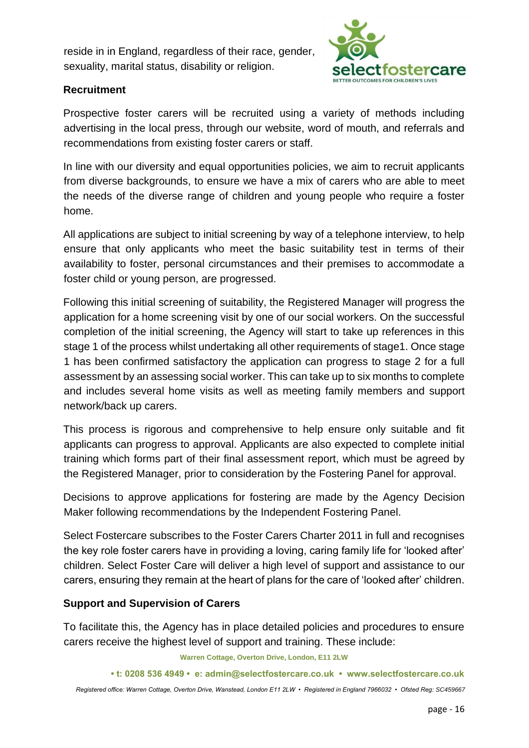reside in in England, regardless of their race, gender, sexuality, marital status, disability or religion.



## **Recruitment**

Prospective foster carers will be recruited using a variety of methods including advertising in the local press, through our website, word of mouth, and referrals and recommendations from existing foster carers or staff.

In line with our diversity and equal opportunities policies, we aim to recruit applicants from diverse backgrounds, to ensure we have a mix of carers who are able to meet the needs of the diverse range of children and young people who require a foster home.

All applications are subject to initial screening by way of a telephone interview, to help ensure that only applicants who meet the basic suitability test in terms of their availability to foster, personal circumstances and their premises to accommodate a foster child or young person, are progressed.

Following this initial screening of suitability, the Registered Manager will progress the application for a home screening visit by one of our social workers. On the successful completion of the initial screening, the Agency will start to take up references in this stage 1 of the process whilst undertaking all other requirements of stage1. Once stage 1 has been confirmed satisfactory the application can progress to stage 2 for a full assessment by an assessing social worker. This can take up to six months to complete and includes several home visits as well as meeting family members and support network/back up carers.

This process is rigorous and comprehensive to help ensure only suitable and fit applicants can progress to approval. Applicants are also expected to complete initial training which forms part of their final assessment report, which must be agreed by the Registered Manager, prior to consideration by the Fostering Panel for approval.

Decisions to approve applications for fostering are made by the Agency Decision Maker following recommendations by the Independent Fostering Panel.

Select Fostercare subscribes to the Foster Carers Charter 2011 in full and recognises the key role foster carers have in providing a loving, caring family life for 'looked after' children. Select Foster Care will deliver a high level of support and assistance to our carers, ensuring they remain at the heart of plans for the care of 'looked after' children.

## **Support and Supervision of Carers**

To facilitate this, the Agency has in place detailed policies and procedures to ensure carers receive the highest level of support and training. These include:

**Warren Cottage, Overton Drive, London, E11 2LW** 

**• t: 0208 536 4949 • e: admin@selectfostercare.co.uk • www.selectfostercare.co.uk**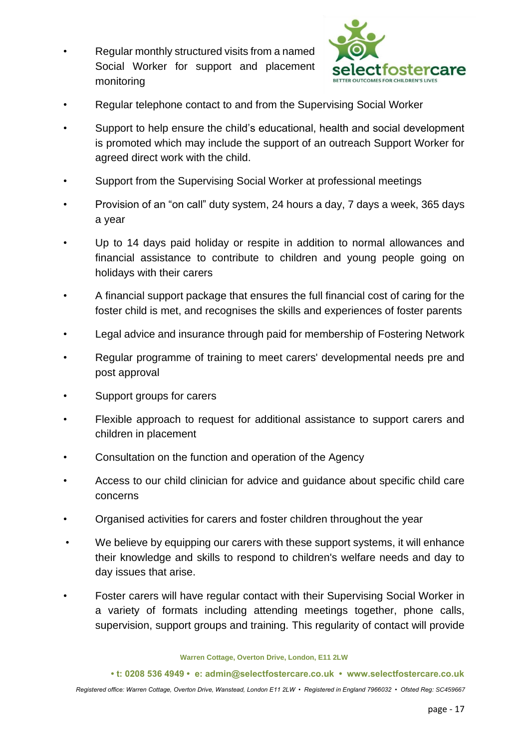• Regular monthly structured visits from a named Social Worker for support and placement monitoring



- Regular telephone contact to and from the Supervising Social Worker
- Support to help ensure the child's educational, health and social development is promoted which may include the support of an outreach Support Worker for agreed direct work with the child.
- Support from the Supervising Social Worker at professional meetings
- Provision of an "on call" duty system, 24 hours a day, 7 days a week, 365 days a year
- Up to 14 days paid holiday or respite in addition to normal allowances and financial assistance to contribute to children and young people going on holidays with their carers
- A financial support package that ensures the full financial cost of caring for the foster child is met, and recognises the skills and experiences of foster parents
- Legal advice and insurance through paid for membership of Fostering Network
- Regular programme of training to meet carers' developmental needs pre and post approval
- Support groups for carers
- Flexible approach to request for additional assistance to support carers and children in placement
- Consultation on the function and operation of the Agency
- Access to our child clinician for advice and guidance about specific child care concerns
- Organised activities for carers and foster children throughout the year
- We believe by equipping our carers with these support systems, it will enhance their knowledge and skills to respond to children's welfare needs and day to day issues that arise.
- Foster carers will have regular contact with their Supervising Social Worker in a variety of formats including attending meetings together, phone calls, supervision, support groups and training. This regularity of contact will provide

**Warren Cottage, Overton Drive, London, E11 2LW** 

**• t: 0208 536 4949 • e: admin@selectfostercare.co.uk • www.selectfostercare.co.uk**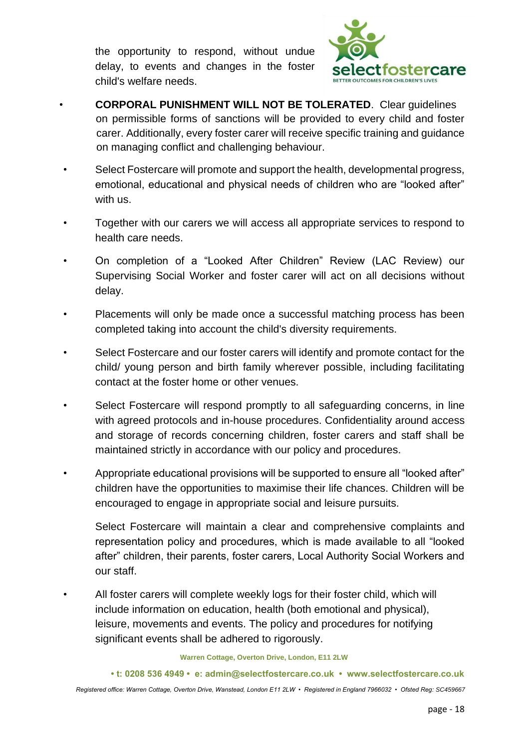the opportunity to respond, without undue delay, to events and changes in the foster child's welfare needs.



- **CORPORAL PUNISHMENT WILL NOT BE TOLERATED**. Clear guidelines on permissible forms of sanctions will be provided to every child and foster carer. Additionally, every foster carer will receive specific training and guidance on managing conflict and challenging behaviour.
- Select Fostercare will promote and support the health, developmental progress, emotional, educational and physical needs of children who are "looked after" with us.
- Together with our carers we will access all appropriate services to respond to health care needs.
- On completion of a "Looked After Children" Review (LAC Review) our Supervising Social Worker and foster carer will act on all decisions without delay.
- Placements will only be made once a successful matching process has been completed taking into account the child's diversity requirements.
- Select Fostercare and our foster carers will identify and promote contact for the child/ young person and birth family wherever possible, including facilitating contact at the foster home or other venues.
- Select Fostercare will respond promptly to all safeguarding concerns, in line with agreed protocols and in-house procedures. Confidentiality around access and storage of records concerning children, foster carers and staff shall be maintained strictly in accordance with our policy and procedures.
- Appropriate educational provisions will be supported to ensure all "looked after" children have the opportunities to maximise their life chances. Children will be encouraged to engage in appropriate social and leisure pursuits.
	- Select Fostercare will maintain a clear and comprehensive complaints and representation policy and procedures, which is made available to all "looked after" children, their parents, foster carers, Local Authority Social Workers and our staff.
- All foster carers will complete weekly logs for their foster child, which will include information on education, health (both emotional and physical), leisure, movements and events. The policy and procedures for notifying significant events shall be adhered to rigorously.

#### **Warren Cottage, Overton Drive, London, E11 2LW**

**• t: 0208 536 4949 • e: admin@selectfostercare.co.uk • www.selectfostercare.co.uk**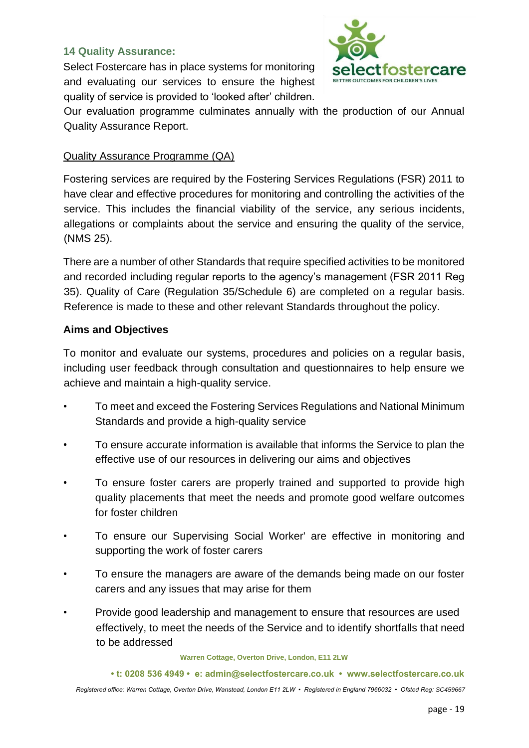#### **14 Quality Assurance:**

Select Fostercare has in place systems for monitoring and evaluating our services to ensure the highest quality of service is provided to 'looked after' children.



Our evaluation programme culminates annually with the production of our Annual Quality Assurance Report.

#### Quality Assurance Programme (QA)

Fostering services are required by the Fostering Services Regulations (FSR) 2011 to have clear and effective procedures for monitoring and controlling the activities of the service. This includes the financial viability of the service, any serious incidents, allegations or complaints about the service and ensuring the quality of the service, (NMS 25).

There are a number of other Standards that require specified activities to be monitored and recorded including regular reports to the agency's management (FSR 2011 Reg 35). Quality of Care (Regulation 35/Schedule 6) are completed on a regular basis. Reference is made to these and other relevant Standards throughout the policy.

#### **Aims and Objectives**

To monitor and evaluate our systems, procedures and policies on a regular basis, including user feedback through consultation and questionnaires to help ensure we achieve and maintain a high-quality service.

- To meet and exceed the Fostering Services Regulations and National Minimum Standards and provide a high-quality service
- To ensure accurate information is available that informs the Service to plan the effective use of our resources in delivering our aims and objectives
- To ensure foster carers are properly trained and supported to provide high quality placements that meet the needs and promote good welfare outcomes for foster children
- To ensure our Supervising Social Worker' are effective in monitoring and supporting the work of foster carers
- To ensure the managers are aware of the demands being made on our foster carers and any issues that may arise for them
- Provide good leadership and management to ensure that resources are used effectively, to meet the needs of the Service and to identify shortfalls that need to be addressed

#### **Warren Cottage, Overton Drive, London, E11 2LW**

**• t: 0208 536 4949 • e: admin@selectfostercare.co.uk • www.selectfostercare.co.uk**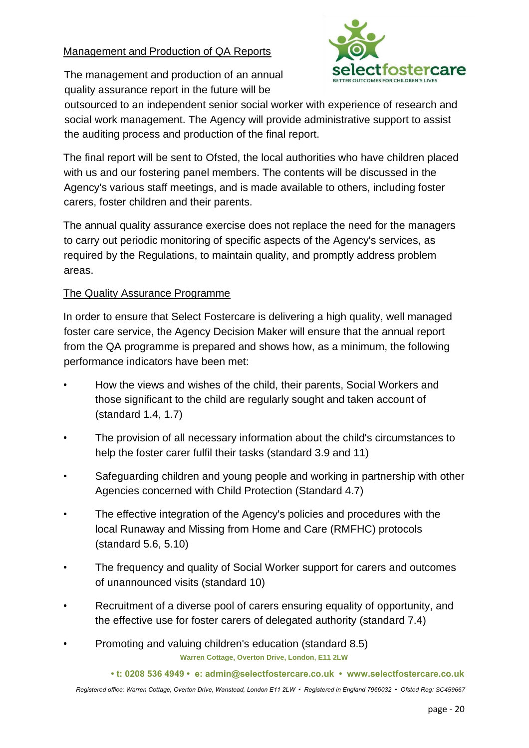## Management and Production of QA Reports

The management and production of an annual quality assurance report in the future will be



outsourced to an independent senior social worker with experience of research and social work management. The Agency will provide administrative support to assist the auditing process and production of the final report.

The final report will be sent to Ofsted, the local authorities who have children placed with us and our fostering panel members. The contents will be discussed in the Agency's various staff meetings, and is made available to others, including foster carers, foster children and their parents.

The annual quality assurance exercise does not replace the need for the managers to carry out periodic monitoring of specific aspects of the Agency's services, as required by the Regulations, to maintain quality, and promptly address problem areas.

#### The Quality Assurance Programme

In order to ensure that Select Fostercare is delivering a high quality, well managed foster care service, the Agency Decision Maker will ensure that the annual report from the QA programme is prepared and shows how, as a minimum, the following performance indicators have been met:

- How the views and wishes of the child, their parents, Social Workers and those significant to the child are regularly sought and taken account of (standard 1.4, 1.7)
- The provision of all necessary information about the child's circumstances to help the foster carer fulfil their tasks (standard 3.9 and 11)
- Safeguarding children and young people and working in partnership with other Agencies concerned with Child Protection (Standard 4.7)
- The effective integration of the Agency's policies and procedures with the local Runaway and Missing from Home and Care (RMFHC) protocols (standard 5.6, 5.10)
- The frequency and quality of Social Worker support for carers and outcomes of unannounced visits (standard 10)
- Recruitment of a diverse pool of carers ensuring equality of opportunity, and the effective use for foster carers of delegated authority (standard 7.4)
- **Warren Cottage, Overton Drive, London, E11 2LW**  • Promoting and valuing children's education (standard 8.5)

**• t: 0208 536 4949 • e: admin@selectfostercare.co.uk • www.selectfostercare.co.uk**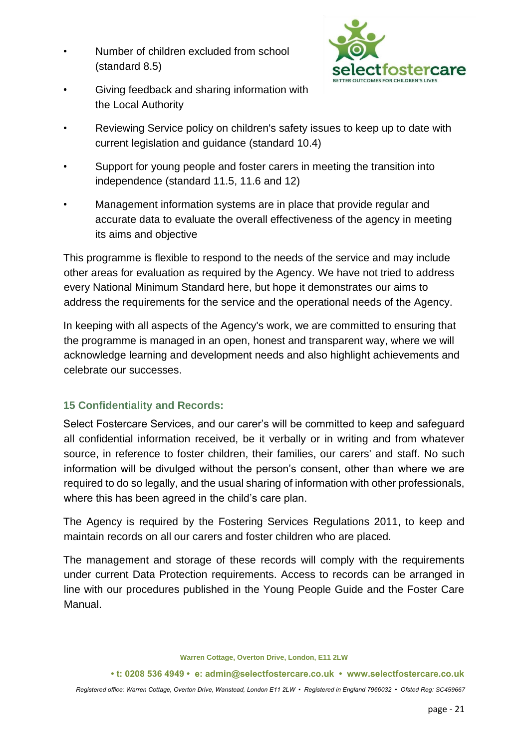• Number of children excluded from school (standard 8.5)



- Giving feedback and sharing information with the Local Authority
- Reviewing Service policy on children's safety issues to keep up to date with current legislation and guidance (standard 10.4)
- Support for young people and foster carers in meeting the transition into independence (standard 11.5, 11.6 and 12)
- Management information systems are in place that provide regular and accurate data to evaluate the overall effectiveness of the agency in meeting its aims and objective

This programme is flexible to respond to the needs of the service and may include other areas for evaluation as required by the Agency. We have not tried to address every National Minimum Standard here, but hope it demonstrates our aims to address the requirements for the service and the operational needs of the Agency.

In keeping with all aspects of the Agency's work, we are committed to ensuring that the programme is managed in an open, honest and transparent way, where we will acknowledge learning and development needs and also highlight achievements and celebrate our successes.

## **15 Confidentiality and Records:**

Select Fostercare Services, and our carer's will be committed to keep and safeguard all confidential information received, be it verbally or in writing and from whatever source, in reference to foster children, their families, our carers' and staff. No such information will be divulged without the person's consent, other than where we are required to do so legally, and the usual sharing of information with other professionals, where this has been agreed in the child's care plan.

The Agency is required by the Fostering Services Regulations 2011, to keep and maintain records on all our carers and foster children who are placed.

The management and storage of these records will comply with the requirements under current Data Protection requirements. Access to records can be arranged in line with our procedures published in the Young People Guide and the Foster Care Manual.

**Warren Cottage, Overton Drive, London, E11 2LW** 

**• t: 0208 536 4949 • e: admin@selectfostercare.co.uk • www.selectfostercare.co.uk**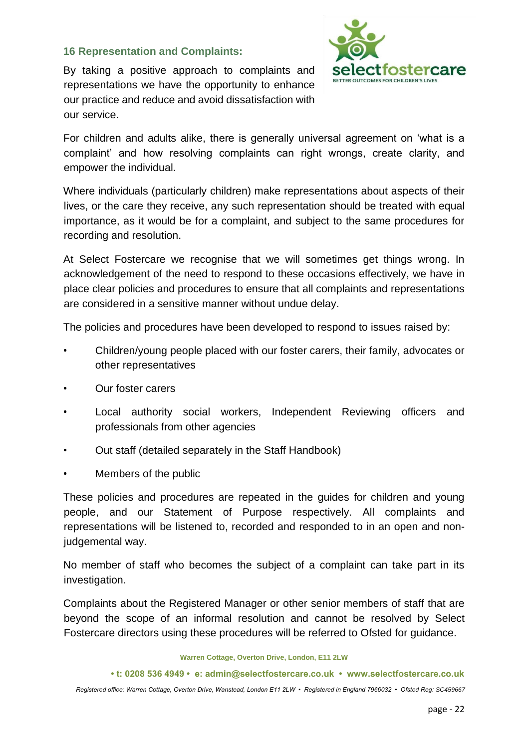#### **16 Representation and Complaints:**

By taking a positive approach to complaints and representations we have the opportunity to enhance our practice and reduce and avoid dissatisfaction with our service.



For children and adults alike, there is generally universal agreement on 'what is a complaint' and how resolving complaints can right wrongs, create clarity, and empower the individual.

Where individuals (particularly children) make representations about aspects of their lives, or the care they receive, any such representation should be treated with equal importance, as it would be for a complaint, and subject to the same procedures for recording and resolution.

At Select Fostercare we recognise that we will sometimes get things wrong. In acknowledgement of the need to respond to these occasions effectively, we have in place clear policies and procedures to ensure that all complaints and representations are considered in a sensitive manner without undue delay.

The policies and procedures have been developed to respond to issues raised by:

- Children/young people placed with our foster carers, their family, advocates or other representatives
- Our foster carers
- Local authority social workers, Independent Reviewing officers and professionals from other agencies
- Out staff (detailed separately in the Staff Handbook)
- Members of the public

These policies and procedures are repeated in the guides for children and young people, and our Statement of Purpose respectively. All complaints and representations will be listened to, recorded and responded to in an open and nonjudgemental way.

No member of staff who becomes the subject of a complaint can take part in its investigation.

Complaints about the Registered Manager or other senior members of staff that are beyond the scope of an informal resolution and cannot be resolved by Select Fostercare directors using these procedures will be referred to Ofsted for guidance.

**Warren Cottage, Overton Drive, London, E11 2LW** 

**• t: 0208 536 4949 • e: admin@selectfostercare.co.uk • www.selectfostercare.co.uk**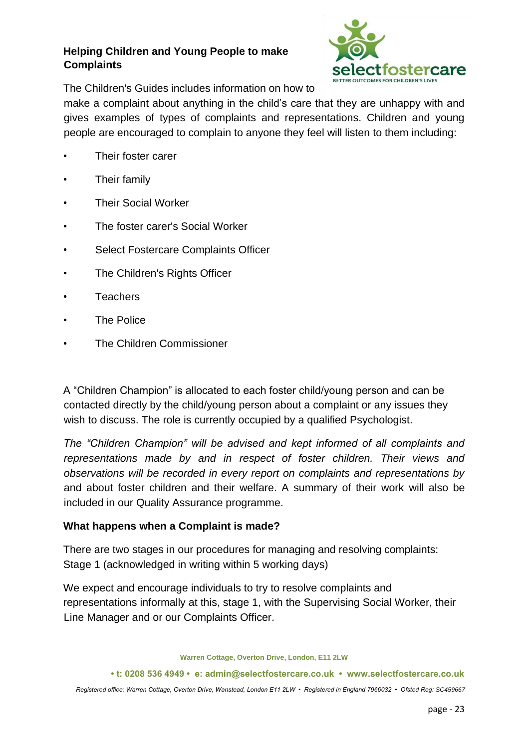## **Helping Children and Young People to make Complaints**



The Children's Guides includes information on how to

make a complaint about anything in the child's care that they are unhappy with and gives examples of types of complaints and representations. Children and young people are encouraged to complain to anyone they feel will listen to them including:

- Their foster carer
- Their family
- Their Social Worker
- The foster carer's Social Worker
- Select Fostercare Complaints Officer
- The Children's Rights Officer
- **Teachers**
- The Police
- The Children Commissioner

A "Children Champion" is allocated to each foster child/young person and can be contacted directly by the child/young person about a complaint or any issues they wish to discuss. The role is currently occupied by a qualified Psychologist.

*The "Children Champion" will be advised and kept informed of all complaints and representations made by and in respect of foster children. Their views and observations will be recorded in every report on complaints and representations by*  and about foster children and their welfare. A summary of their work will also be included in our Quality Assurance programme.

## **What happens when a Complaint is made?**

There are two stages in our procedures for managing and resolving complaints: Stage 1 (acknowledged in writing within 5 working days)

We expect and encourage individuals to try to resolve complaints and representations informally at this, stage 1, with the Supervising Social Worker, their Line Manager and or our Complaints Officer.

**Warren Cottage, Overton Drive, London, E11 2LW** 

**• t: 0208 536 4949 • e: admin@selectfostercare.co.uk • www.selectfostercare.co.uk**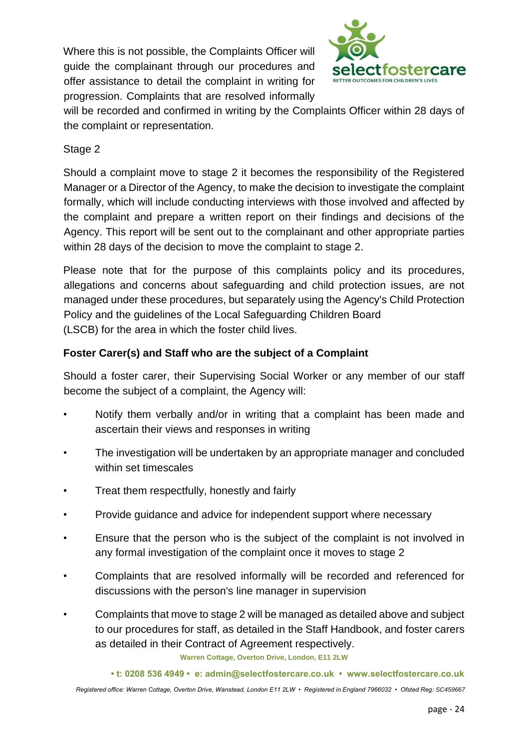Where this is not possible, the Complaints Officer will guide the complainant through our procedures and offer assistance to detail the complaint in writing for progression. Complaints that are resolved informally



will be recorded and confirmed in writing by the Complaints Officer within 28 days of the complaint or representation.

# Stage 2

Should a complaint move to stage 2 it becomes the responsibility of the Registered Manager or a Director of the Agency, to make the decision to investigate the complaint formally, which will include conducting interviews with those involved and affected by the complaint and prepare a written report on their findings and decisions of the Agency. This report will be sent out to the complainant and other appropriate parties within 28 days of the decision to move the complaint to stage 2.

Please note that for the purpose of this complaints policy and its procedures, allegations and concerns about safeguarding and child protection issues, are not managed under these procedures, but separately using the Agency's Child Protection Policy and the guidelines of the Local Safeguarding Children Board (LSCB) for the area in which the foster child lives.

## **Foster Carer(s) and Staff who are the subject of a Complaint**

Should a foster carer, their Supervising Social Worker or any member of our staff become the subject of a complaint, the Agency will:

- Notify them verbally and/or in writing that a complaint has been made and ascertain their views and responses in writing
- The investigation will be undertaken by an appropriate manager and concluded within set timescales
- Treat them respectfully, honestly and fairly
- Provide guidance and advice for independent support where necessary
- Ensure that the person who is the subject of the complaint is not involved in any formal investigation of the complaint once it moves to stage 2
- Complaints that are resolved informally will be recorded and referenced for discussions with the person's line manager in supervision
- Complaints that move to stage 2 will be managed as detailed above and subject to our procedures for staff, as detailed in the Staff Handbook, and foster carers as detailed in their Contract of Agreement respectively.

**Warren Cottage, Overton Drive, London, E11 2LW** 

**• t: 0208 536 4949 • e: admin@selectfostercare.co.uk • www.selectfostercare.co.uk**  *Registered office: Warren Cottage, Overton Drive, Wanstead, London E11 2LW • Registered in England 7966032 • Ofsted Reg: SC459667*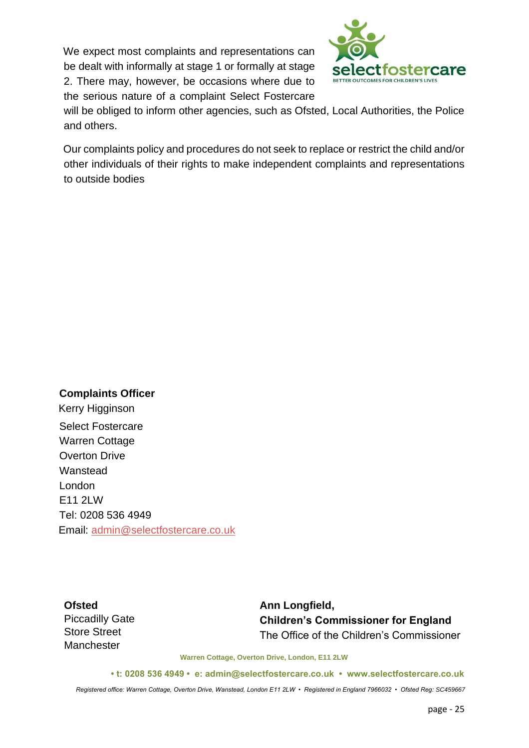We expect most complaints and representations can be dealt with informally at stage 1 or formally at stage 2. There may, however, be occasions where due to the serious nature of a complaint Select Fostercare



will be obliged to inform other agencies, such as Ofsted, Local Authorities, the Police and others.

Our complaints policy and procedures do not seek to replace or restrict the child and/or other individuals of their rights to make independent complaints and representations to outside bodies

**Complaints Officer**  Kerry Higginson Select Fostercare Warren Cottage Overton Drive Wanstead London E11 2LW Tel: 0208 536 4949 Email: admin@selectfostercare.co.uk

**Ofsted**  Piccadilly Gate Store Street **Manchester** 

**Ann Longfield, Children's Commissioner for England**  The Office of the Children's Commissioner

**Warren Cottage, Overton Drive, London, E11 2LW** 

**• t: 0208 536 4949 • e: admin@selectfostercare.co.uk • www.selectfostercare.co.uk**